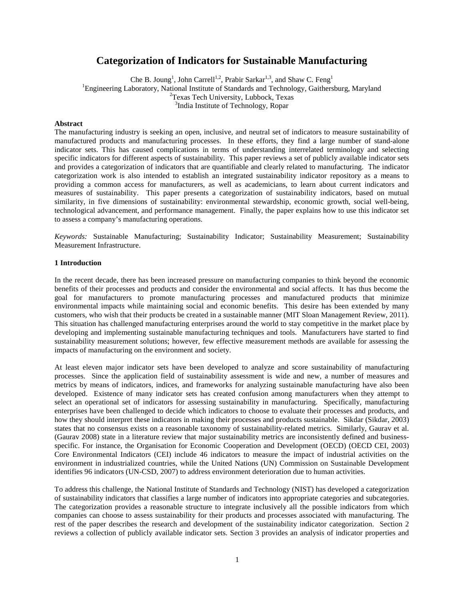# **Categorization of Indicators for Sustainable Manufacturing**

Che B. Joung<sup>1</sup>, John Carrell<sup>1,2</sup>, Prabir Sarkar<sup>1,3</sup>, and Shaw C. Feng<sup>1</sup> <sup>1</sup>Engineering Laboratory, National Institute of Standards and Technology, Gaithersburg, Maryland  $2$ Texas Tech University, Lubbock, Texas <sup>3</sup>India Institute of Technology, Ropar

#### **Abstract**

The manufacturing industry is seeking an open, inclusive, and neutral set of indicators to measure sustainability of manufactured products and manufacturing processes. In these efforts, they find a large number of stand-alone indicator sets. This has caused complications in terms of understanding interrelated terminology and selecting specific indicators for different aspects of sustainability. This paper reviews a set of publicly available indicator sets and provides a categorization of indicators that are quantifiable and clearly related to manufacturing. The indicator categorization work is also intended to establish an integrated sustainability indicator repository as a means to providing a common access for manufacturers, as well as academicians, to learn about current indicators and measures of sustainability. This paper presents a categorization of sustainability indicators, based on mutual similarity, in five dimensions of sustainability: environmental stewardship, economic growth, social well-being, technological advancement, and performance management. Finally, the paper explains how to use this indicator set to assess a company's manufacturing operations.

*Keywords:* Sustainable Manufacturing; Sustainability Indicator; Sustainability Measurement; Sustainability Measurement Infrastructure.

## **1 Introduction**

In the recent decade, there has been increased pressure on manufacturing companies to think beyond the economic benefits of their processes and products and consider the environmental and social affects. It has thus become the goal for manufacturers to promote manufacturing processes and manufactured products that minimize environmental impacts while maintaining social and economic benefits. This desire has been extended by many customers, who wish that their products be created in a sustainable manner (MIT Sloan Management Review, 2011). This situation has challenged manufacturing enterprises around the world to stay competitive in the market place by developing and implementing sustainable manufacturing techniques and tools. Manufacturers have started to find sustainability measurement solutions; however, few effective measurement methods are available for assessing the impacts of manufacturing on the environment and society.

At least eleven major indicator sets have been developed to analyze and score sustainability of manufacturing processes. Since the application field of sustainability assessment is wide and new, a number of measures and metrics by means of indicators, indices, and frameworks for analyzing sustainable manufacturing have also been developed. Existence of many indicator sets has created confusion among manufacturers when they attempt to select an operational set of indicators for assessing sustainability in manufacturing. Specifically, manufacturing enterprises have been challenged to decide which indicators to choose to evaluate their processes and products, and how they should interpret these indicators in making their processes and products sustainable. Sikdar (Sikdar, 2003) states that no consensus exists on a reasonable taxonomy of sustainability-related metrics. Similarly, Gaurav et al. (Gaurav 2008) state in a literature review that major sustainability metrics are inconsistently defined and businessspecific. For instance, the Organisation for Economic Cooperation and Development (OECD) (OECD CEI, 2003) Core Environmental Indicators (CEI) include 46 indicators to measure the impact of industrial activities on the environment in industrialized countries, while the United Nations (UN) Commission on Sustainable Development identifies 96 indicators (UN-CSD, 2007) to address environment deterioration due to human activities.

To address this challenge, the National Institute of Standards and Technology (NIST) has developed a categorization of sustainability indicators that classifies a large number of indicators into appropriate categories and subcategories. The categorization provides a reasonable structure to integrate inclusively all the possible indicators from which companies can choose to assess sustainability for their products and processes associated with manufacturing. The rest of the paper describes the research and development of the sustainability indicator categorization. Section 2 reviews a collection of publicly available indicator sets. Section 3 provides an analysis of indicator properties and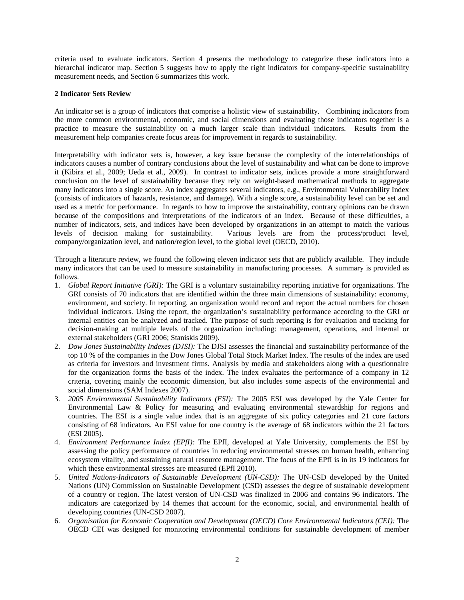criteria used to evaluate indicators. Section 4 presents the methodology to categorize these indicators into a hierarchal indicator map. Section 5 suggests how to apply the right indicators for company-specific sustainability measurement needs, and Section 6 summarizes this work.

## **2 Indicator Sets Review**

An indicator set is a group of indicators that comprise a holistic view of sustainability. Combining indicators from the more common environmental, economic, and social dimensions and evaluating those indicators together is a practice to measure the sustainability on a much larger scale than individual indicators. Results from the measurement help companies create focus areas for improvement in regards to sustainability.

Interpretability with indicator sets is, however, a key issue because the complexity of the interrelationships of indicators causes a number of contrary conclusions about the level of sustainability and what can be done to improve it (Kibira et al., 2009; Ueda et al., 2009). In contrast to indicator sets, indices provide a more straightforward conclusion on the level of sustainability because they rely on weight-based mathematical methods to aggregate many indicators into a single score. An index aggregates several indicators, e.g., Environmental Vulnerability Index (consists of indicators of hazards, resistance, and damage). With a single score, a sustainability level can be set and used as a metric for performance. In regards to how to improve the sustainability, contrary opinions can be drawn because of the compositions and interpretations of the indicators of an index. Because of these difficulties, a number of indicators, sets, and indices have been developed by organizations in an attempt to match the various<br>levels of decision making for sustainability. Various levels are from the process/product level, Various levels are from the process/product level, company/organization level, and nation/region level, to the global level (OECD, 2010).

Through a literature review, we found the following eleven indicator sets that are publicly available. They include many indicators that can be used to measure sustainability in manufacturing processes. A summary is provided as follows.

- 1. *Global Report Initiative (GRI):* The GRI is a voluntary sustainability reporting initiative for organizations. The GRI consists of 70 indicators that are identified within the three main dimensions of sustainability: economy, environment, and society. In reporting, an organization would record and report the actual numbers for chosen individual indicators. Using the report, the organization's sustainability performance according to the GRI or internal entities can be analyzed and tracked. The purpose of such reporting is for evaluation and tracking for decision-making at multiple levels of the organization including: management, operations, and internal or external stakeholders (GRI 2006; Staniskis 2009).
- 2. *Dow Jones Sustainability Indexes (DJSI):* The DJSI assesses the financial and sustainability performance of the top 10 % of the companies in the Dow Jones Global Total Stock Market Index. The results of the index are used as criteria for investors and investment firms. Analysis by media and stakeholders along with a questionnaire for the organization forms the basis of the index. The index evaluates the performance of a company in 12 criteria, covering mainly the economic dimension, but also includes some aspects of the environmental and social dimensions (SAM Indexes 2007).
- 3. *2005 Environmental Sustainability Indicators (ESI):* The 2005 ESI was developed by the Yale Center for Environmental Law & Policy for measuring and evaluating environmental stewardship for regions and countries. The ESI is a single value index that is an aggregate of six policy categories and 21 core factors consisting of 68 indicators. An ESI value for one country is the average of 68 indicators within the 21 factors (ESI 2005).
- 4. *Environment Performance Index (EPfI):* The EPfI, developed at Yale University, complements the ESI by assessing the policy performance of countries in reducing environmental stresses on human health, enhancing ecosystem vitality, and sustaining natural resource management. The focus of the EPfI is in its 19 indicators for which these environmental stresses are measured (EPfI 2010).
- 5. *United Nations-Indicators of Sustainable Development (UN-CSD):* The UN-CSD developed by the United Nations (UN) Commission on Sustainable Development (CSD) assesses the degree of sustainable development of a country or region. The latest version of UN-CSD was finalized in 2006 and contains 96 indicators. The indicators are categorized by 14 themes that account for the economic, social, and environmental health of developing countries (UN-CSD 2007).
- 6. *Organisation for Economic Cooperation and Development (OECD) Core Environmental Indicators (CEI):* The OECD CEI was designed for monitoring environmental conditions for sustainable development of member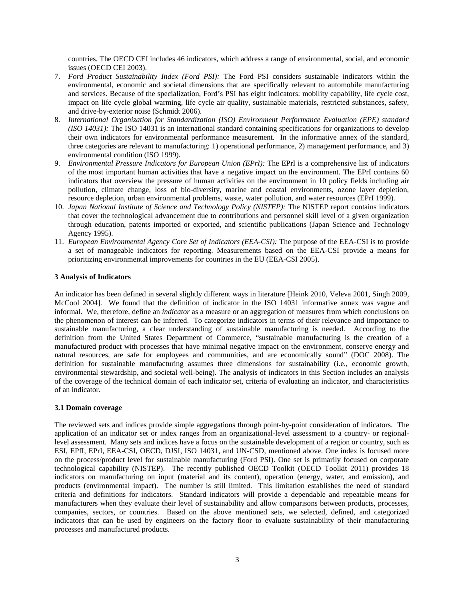countries. The OECD CEI includes 46 indicators, which address a range of environmental, social, and economic issues (OECD CEI 2003).

- 7. *Ford Product Sustainability Index (Ford PSI):* The Ford PSI considers sustainable indicators within the environmental, economic and societal dimensions that are specifically relevant to automobile manufacturing and services. Because of the specialization, Ford's PSI has eight indicators: mobility capability, life cycle cost, impact on life cycle global warming, life cycle air quality, sustainable materials, restricted substances, safety, and drive-by-exterior noise (Schmidt 2006).
- 8. *International Organization for Standardization (ISO) Environment Performance Evaluation (EPE) standard (ISO 14031):* The ISO 14031 is an international standard containing specifications for organizations to develop their own indicators for environmental performance measurement. In the informative annex of the standard, three categories are relevant to manufacturing: 1) operational performance, 2) management performance, and 3) environmental condition (ISO 1999).
- 9. *Environmental Pressure Indicators for European Union (EPrI):* The EPrI is a comprehensive list of indicators of the most important human activities that have a negative impact on the environment. The EPrI contains 60 indicators that overview the pressure of human activities on the environment in 10 policy fields including air pollution, climate change, loss of bio-diversity, marine and coastal environments, ozone layer depletion, resource depletion, urban environmental problems, waste, water pollution, and water resources (EPrI 1999).
- 10. *Japan National Institute of Science and Technology Policy (NISTEP):* The NISTEP report contains indicators that cover the technological advancement due to contributions and personnel skill level of a given organization through education, patents imported or exported, and scientific publications (Japan Science and Technology Agency 1995).
- 11. *European Environmental Agency Core Set of Indicators (EEA-CSI):* The purpose of the EEA-CSI is to provide a set of manageable indicators for reporting. Measurements based on the EEA-CSI provide a means for prioritizing environmental improvements for countries in the EU (EEA-CSI 2005).

# **3 Analysis of Indicators**

An indicator has been defined in several slightly different ways in literature [Heink 2010, Veleva 2001, Singh 2009, McCool 2004]. We found that the definition of indicator in the ISO 14031 informative annex was vague and informal. We, therefore, define an *indicator* as a measure or an aggregation of measures from which conclusions on the phenomenon of interest can be inferred. To categorize indicators in terms of their relevance and importance to sustainable manufacturing, a clear understanding of sustainable manufacturing is needed. According to the definition from the United States Department of Commerce, "sustainable manufacturing is the creation of a manufactured product with processes that have minimal negative impact on the environment, conserve energy and natural resources, are safe for employees and communities, and are economically sound" (DOC 2008). The definition for sustainable manufacturing assumes three dimensions for sustainability (i.e., economic growth, environmental stewardship, and societal well-being). The analysis of indicators in this Section includes an analysis of the coverage of the technical domain of each indicator set, criteria of evaluating an indicator, and characteristics of an indicator.

## **3.1 Domain coverage**

The reviewed sets and indices provide simple aggregations through point-by-point consideration of indicators. The application of an indicator set or index ranges from an organizational-level assessment to a country- or regionallevel assessment. Many sets and indices have a focus on the sustainable development of a region or country, such as ESI, EPfI, EPrI, EEA-CSI, OECD, DJSI, ISO 14031, and UN-CSD, mentioned above. One index is focused more on the process/product level for sustainable manufacturing (Ford PSI). One set is primarily focused on corporate technological capability (NISTEP). The recently published OECD Toolkit (OECD Toolkit 2011) provides 18 indicators on manufacturing on input (material and its content), operation (energy, water, and emission), and products (environmental impact). The number is still limited. This limitation establishes the need of standard criteria and definitions for indicators. Standard indicators will provide a dependable and repeatable means for manufacturers when they evaluate their level of sustainability and allow comparisons between products, processes, companies, sectors, or countries. Based on the above mentioned sets, we selected, defined, and categorized indicators that can be used by engineers on the factory floor to evaluate sustainability of their manufacturing processes and manufactured products.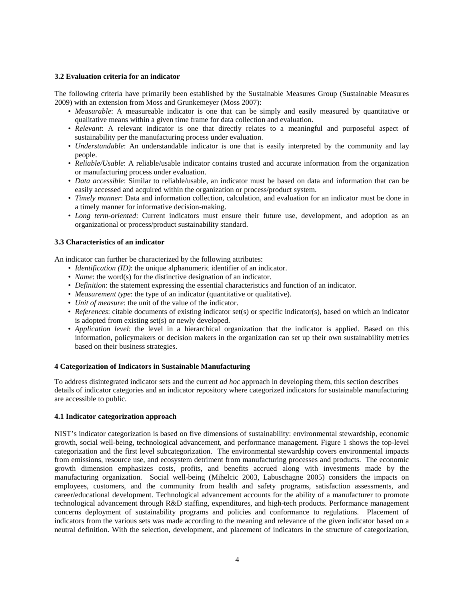# **3.2 Evaluation criteria for an indicator**

The following criteria have primarily been established by the Sustainable Measures Group (Sustainable Measures 2009) with an extension from Moss and Grunkemeyer (Moss 2007):

- *Measurable*: A measureable indicator is one that can be simply and easily measured by quantitative or qualitative means within a given time frame for data collection and evaluation.
- *Relevant*: A relevant indicator is one that directly relates to a meaningful and purposeful aspect of sustainability per the manufacturing process under evaluation.
- *Understandable*: An understandable indicator is one that is easily interpreted by the community and lay people.
- *Reliable/Usable*: A reliable/usable indicator contains trusted and accurate information from the organization or manufacturing process under evaluation.
- *Data accessible*: Similar to reliable/usable, an indicator must be based on data and information that can be easily accessed and acquired within the organization or process/product system.
- *Timely manner*: Data and information collection, calculation, and evaluation for an indicator must be done in a timely manner for informative decision-making.
- *Long term-oriented*: Current indicators must ensure their future use, development, and adoption as an organizational or process/product sustainability standard.

# **3.3 Characteristics of an indicator**

An indicator can further be characterized by the following attributes:

- *Identification (ID)*: the unique alphanumeric identifier of an indicator.
- *Name*: the word(s) for the distinctive designation of an indicator.
- *Definition*: the statement expressing the essential characteristics and function of an indicator.
- *Measurement type*: the type of an indicator (quantitative or qualitative).
- *Unit of measure*: the unit of the value of the indicator.
- *References*: citable documents of existing indicator set(s) or specific indicator(s), based on which an indicator is adopted from existing set(s) or newly developed.
- *Application level*: the level in a hierarchical organization that the indicator is applied. Based on this information, policymakers or decision makers in the organization can set up their own sustainability metrics based on their business strategies.

## **4 Categorization of Indicators in Sustainable Manufacturing**

To address disintegrated indicator sets and the current *ad hoc* approach in developing them, this section describes details of indicator categories and an indicator repository where categorized indicators for sustainable manufacturing are accessible to public.

# **4.1 Indicator categorization approach**

NIST's indicator categorization is based on five dimensions of sustainability: environmental stewardship, economic growth, social well-being, technological advancement, and performance management. Figure 1 shows the top-level categorization and the first level subcategorization. The environmental stewardship covers environmental impacts from emissions, resource use, and ecosystem detriment from manufacturing processes and products. The economic growth dimension emphasizes costs, profits, and benefits accrued along with investments made by the manufacturing organization. Social well-being (Mihelcic 2003, Labuschagne 2005) considers the impacts on employees, customers, and the community from health and safety programs, satisfaction assessments, and career/educational development. Technological advancement accounts for the ability of a manufacturer to promote technological advancement through R&D staffing, expenditures, and high-tech products. Performance management concerns deployment of sustainability programs and policies and conformance to regulations. Placement of indicators from the various sets was made according to the meaning and relevance of the given indicator based on a neutral definition. With the selection, development, and placement of indicators in the structure of categorization,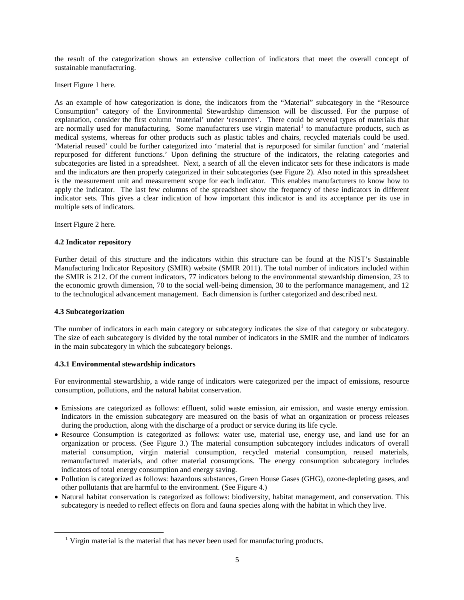the result of the categorization shows an extensive collection of indicators that meet the overall concept of sustainable manufacturing.

Insert Figure 1 here.

As an example of how categorization is done, the indicators from the "Material" subcategory in the "Resource Consumption" category of the Environmental Stewardship dimension will be discussed. For the purpose of explanation, consider the first column 'material' under 'resources'. There could be several types of materials that are normally used for manufacturing. Some manufacturers use virgin material<sup>[1](#page-4-0)</sup> to manufacture products, such as medical systems, whereas for other products such as plastic tables and chairs, recycled materials could be used. 'Material reused' could be further categorized into 'material that is repurposed for similar function' and 'material repurposed for different functions.' Upon defining the structure of the indicators, the relating categories and subcategories are listed in a spreadsheet. Next, a search of all the eleven indicator sets for these indicators is made and the indicators are then properly categorized in their subcategories (see Figure 2). Also noted in this spreadsheet is the measurement unit and measurement scope for each indicator. This enables manufacturers to know how to apply the indicator. The last few columns of the spreadsheet show the frequency of these indicators in different indicator sets. This gives a clear indication of how important this indicator is and its acceptance per its use in multiple sets of indicators.

Insert Figure 2 here.

## **4.2 Indicator repository**

Further detail of this structure and the indicators within this structure can be found at the NIST's Sustainable Manufacturing Indicator Repository (SMIR) website (SMIR 2011). The total number of indicators included within the SMIR is 212. Of the current indicators, 77 indicators belong to the environmental stewardship dimension, 23 to the economic growth dimension, 70 to the social well-being dimension, 30 to the performance management, and 12 to the technological advancement management. Each dimension is further categorized and described next.

## **4.3 Subcategorization**

The number of indicators in each main category or subcategory indicates the size of that category or subcategory. The size of each subcategory is divided by the total number of indicators in the SMIR and the number of indicators in the main subcategory in which the subcategory belongs.

## **4.3.1 Environmental stewardship indicators**

For environmental stewardship, a wide range of indicators were categorized per the impact of emissions, resource consumption, pollutions, and the natural habitat conservation.

- Emissions are categorized as follows: effluent, solid waste emission, air emission, and waste energy emission. Indicators in the emission subcategory are measured on the basis of what an organization or process releases during the production, along with the discharge of a product or service during its life cycle.
- Resource Consumption is categorized as follows: water use, material use, energy use, and land use for an organization or process. (See Figure 3.) The material consumption subcategory includes indicators of overall material consumption, virgin material consumption, recycled material consumption, reused materials, remanufactured materials, and other material consumptions. The energy consumption subcategory includes indicators of total energy consumption and energy saving.
- Pollution is categorized as follows: hazardous substances, Green House Gases (GHG), ozone-depleting gases, and other pollutants that are harmful to the environment. (See Figure 4.)
- Natural habitat conservation is categorized as follows: biodiversity, habitat management, and conservation. This subcategory is needed to reflect effects on flora and fauna species along with the habitat in which they live.

<span id="page-4-0"></span><sup>&</sup>lt;sup>1</sup> Virgin material is the material that has never been used for manufacturing products.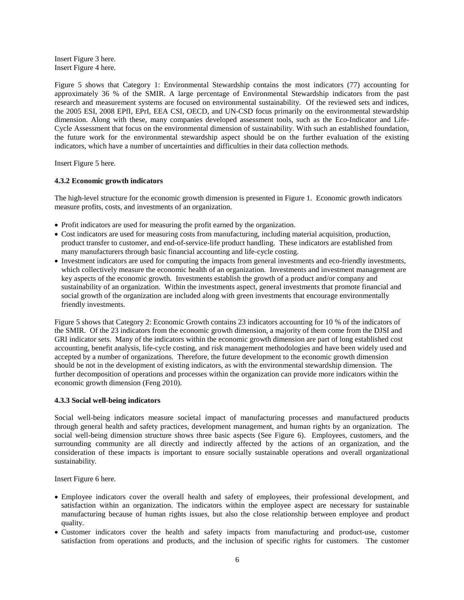Insert Figure 3 here. Insert Figure 4 here.

Figure 5 shows that Category 1: Environmental Stewardship contains the most indicators (77) accounting for approximately 36 % of the SMIR. A large percentage of Environmental Stewardship indicators from the past research and measurement systems are focused on environmental sustainability. Of the reviewed sets and indices, the 2005 ESI, 2008 EPfI, EPrI, EEA CSI, OECD, and UN-CSD focus primarily on the environmental stewardship dimension. Along with these, many companies developed assessment tools, such as the Eco-Indicator and Life-Cycle Assessment that focus on the environmental dimension of sustainability. With such an established foundation, the future work for the environmental stewardship aspect should be on the further evaluation of the existing indicators, which have a number of uncertainties and difficulties in their data collection methods.

Insert Figure 5 here.

# **4.3.2 Economic growth indicators**

The high-level structure for the economic growth dimension is presented in Figure 1. Economic growth indicators measure profits, costs, and investments of an organization.

- Profit indicators are used for measuring the profit earned by the organization.
- Cost indicators are used for measuring costs from manufacturing, including material acquisition, production, product transfer to customer, and end-of-service-life product handling. These indicators are established from many manufacturers through basic financial accounting and life-cycle costing.
- Investment indicators are used for computing the impacts from general investments and eco-friendly investments, which collectively measure the economic health of an organization. Investments and investment management are key aspects of the economic growth. Investments establish the growth of a product and/or company and sustainability of an organization. Within the investments aspect, general investments that promote financial and social growth of the organization are included along with green investments that encourage environmentally friendly investments.

Figure 5 shows that Category 2: Economic Growth contains 23 indicators accounting for 10 % of the indicators of the SMIR. Of the 23 indicators from the economic growth dimension, a majority of them come from the DJSI and GRI indicator sets. Many of the indicators within the economic growth dimension are part of long established cost accounting, benefit analysis, life-cycle costing, and risk management methodologies and have been widely used and accepted by a number of organizations. Therefore, the future development to the economic growth dimension should be not in the development of existing indicators, as with the environmental stewardship dimension. The further decomposition of operations and processes within the organization can provide more indicators within the economic growth dimension (Feng 2010).

# **4.3.3 Social well-being indicators**

Social well-being indicators measure societal impact of manufacturing processes and manufactured products through general health and safety practices, development management, and human rights by an organization. The social well-being dimension structure shows three basic aspects (See Figure 6). Employees, customers, and the surrounding community are all directly and indirectly affected by the actions of an organization, and the consideration of these impacts is important to ensure socially sustainable operations and overall organizational sustainability.

Insert Figure 6 here.

- Employee indicators cover the overall health and safety of employees, their professional development, and satisfaction within an organization. The indicators within the employee aspect are necessary for sustainable manufacturing because of human rights issues, but also the close relationship between employee and product quality.
- Customer indicators cover the health and safety impacts from manufacturing and product-use, customer satisfaction from operations and products, and the inclusion of specific rights for customers. The customer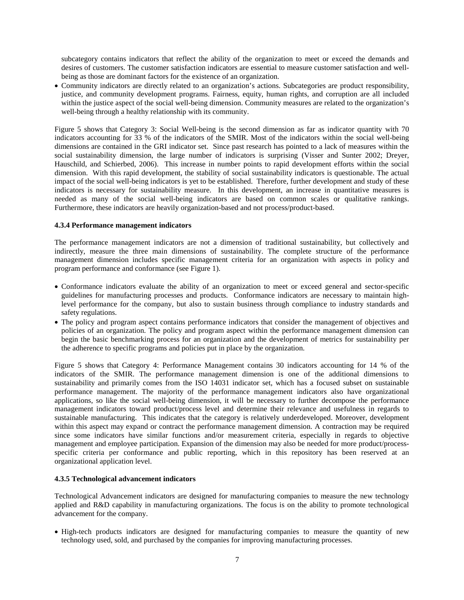subcategory contains indicators that reflect the ability of the organization to meet or exceed the demands and desires of customers. The customer satisfaction indicators are essential to measure customer satisfaction and wellbeing as those are dominant factors for the existence of an organization.

• Community indicators are directly related to an organization's actions. Subcategories are product responsibility, justice, and community development programs. Fairness, equity, human rights, and corruption are all included within the justice aspect of the social well-being dimension. Community measures are related to the organization's well-being through a healthy relationship with its community.

Figure 5 shows that Category 3: Social Well-being is the second dimension as far as indicator quantity with 70 indicators accounting for 33 % of the indicators of the SMIR. Most of the indicators within the social well-being dimensions are contained in the GRI indicator set. Since past research has pointed to a lack of measures within the social sustainability dimension, the large number of indicators is surprising (Visser and Sunter 2002; Dreyer, Hauschild, and Schierbed, 2006). This increase in number points to rapid development efforts within the social dimension. With this rapid development, the stability of social sustainability indicators is questionable. The actual impact of the social well-being indicators is yet to be established. Therefore, further development and study of these indicators is necessary for sustainability measure. In this development, an increase in quantitative measures is needed as many of the social well-being indicators are based on common scales or qualitative rankings. Furthermore, these indicators are heavily organization-based and not process/product-based.

## **4.3.4 Performance management indicators**

The performance management indicators are not a dimension of traditional sustainability, but collectively and indirectly, measure the three main dimensions of sustainability. The complete structure of the performance management dimension includes specific management criteria for an organization with aspects in policy and program performance and conformance (see Figure 1).

- Conformance indicators evaluate the ability of an organization to meet or exceed general and sector-specific guidelines for manufacturing processes and products. Conformance indicators are necessary to maintain highlevel performance for the company, but also to sustain business through compliance to industry standards and safety regulations.
- The policy and program aspect contains performance indicators that consider the management of objectives and policies of an organization. The policy and program aspect within the performance management dimension can begin the basic benchmarking process for an organization and the development of metrics for sustainability per the adherence to specific programs and policies put in place by the organization.

Figure 5 shows that Category 4: Performance Management contains 30 indicators accounting for 14 % of the indicators of the SMIR. The performance management dimension is one of the additional dimensions to sustainability and primarily comes from the ISO 14031 indicator set, which has a focused subset on sustainable performance management. The majority of the performance management indicators also have organizational applications, so like the social well-being dimension, it will be necessary to further decompose the performance management indicators toward product/process level and determine their relevance and usefulness in regards to sustainable manufacturing. This indicates that the category is relatively underdeveloped. Moreover, development within this aspect may expand or contract the performance management dimension. A contraction may be required since some indicators have similar functions and/or measurement criteria, especially in regards to objective management and employee participation. Expansion of the dimension may also be needed for more product/processspecific criteria per conformance and public reporting, which in this repository has been reserved at an organizational application level.

# **4.3.5 Technological advancement indicators**

Technological Advancement indicators are designed for manufacturing companies to measure the new technology applied and R&D capability in manufacturing organizations. The focus is on the ability to promote technological advancement for the company.

• High-tech products indicators are designed for manufacturing companies to measure the quantity of new technology used, sold, and purchased by the companies for improving manufacturing processes.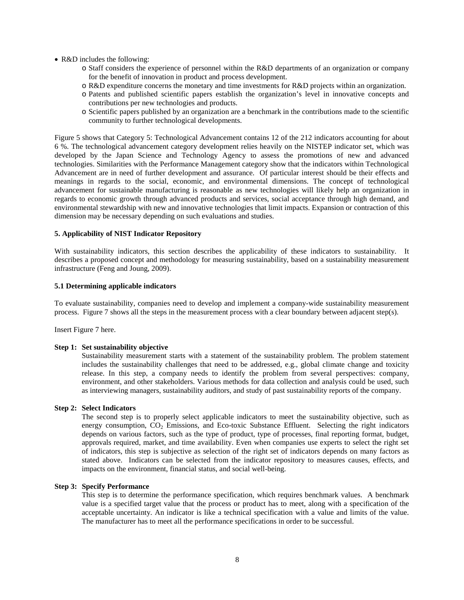- R&D includes the following:
	- o Staff considers the experience of personnel within the R&D departments of an organization or company for the benefit of innovation in product and process development.
	- o R&D expenditure concerns the monetary and time investments for R&D projects within an organization.
	- o Patents and published scientific papers establish the organization's level in innovative concepts and contributions per new technologies and products.
	- o Scientific papers published by an organization are a benchmark in the contributions made to the scientific community to further technological developments.

Figure 5 shows that Category 5: Technological Advancement contains 12 of the 212 indicators accounting for about 6 %. The technological advancement category development relies heavily on the NISTEP indicator set, which was developed by the Japan Science and Technology Agency to assess the promotions of new and advanced technologies. Similarities with the Performance Management category show that the indicators within Technological Advancement are in need of further development and assurance. Of particular interest should be their effects and meanings in regards to the social, economic, and environmental dimensions. The concept of technological advancement for sustainable manufacturing is reasonable as new technologies will likely help an organization in regards to economic growth through advanced products and services, social acceptance through high demand, and environmental stewardship with new and innovative technologies that limit impacts. Expansion or contraction of this dimension may be necessary depending on such evaluations and studies.

#### **5. Applicability of NIST Indicator Repository**

With sustainability indicators, this section describes the applicability of these indicators to sustainability. It describes a proposed concept and methodology for measuring sustainability, based on a sustainability measurement infrastructure (Feng and Joung, 2009).

#### **5.1 Determining applicable indicators**

To evaluate sustainability, companies need to develop and implement a company-wide sustainability measurement process. Figure 7 shows all the steps in the measurement process with a clear boundary between adjacent step(s).

Insert Figure 7 here.

## **Step 1: Set sustainability objective**

Sustainability measurement starts with a statement of the sustainability problem. The problem statement includes the sustainability challenges that need to be addressed, e.g., global climate change and toxicity release. In this step, a company needs to identify the problem from several perspectives: company, environment, and other stakeholders. Various methods for data collection and analysis could be used, such as interviewing managers, sustainability auditors, and study of past sustainability reports of the company.

## **Step 2: Select Indicators**

The second step is to properly select applicable indicators to meet the sustainability objective, such as energy consumption,  $CO_2$  Emissions, and Eco-toxic Substance Effluent. Selecting the right indicators depends on various factors, such as the type of product, type of processes, final reporting format, budget, approvals required, market, and time availability. Even when companies use experts to select the right set of indicators, this step is subjective as selection of the right set of indicators depends on many factors as stated above. Indicators can be selected from the indicator repository to measures causes, effects, and impacts on the environment, financial status, and social well-being.

#### **Step 3: Specify Performance**

This step is to determine the performance specification, which requires benchmark values. A benchmark value is a specified target value that the process or product has to meet, along with a specification of the acceptable uncertainty. An indicator is like a technical specification with a value and limits of the value. The manufacturer has to meet all the performance specifications in order to be successful.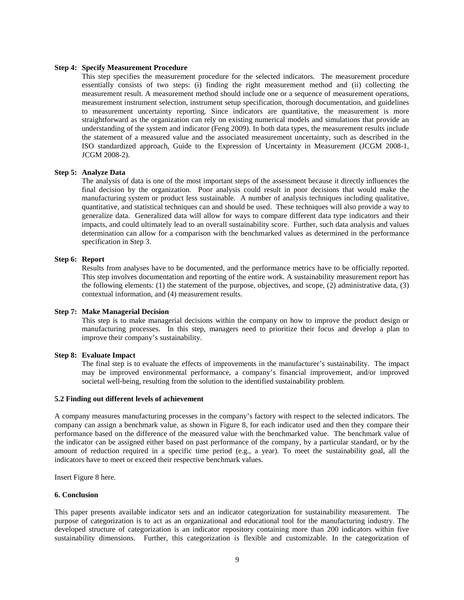#### **Step 4: Specify Measurement Procedure**

This step specifies the measurement procedure for the selected indicators. The measurement procedure essentially consists of two steps: (i) finding the right measurement method and (ii) collecting the measurement result. A measurement method should include one or a sequence of measurement operations, measurement instrument selection, instrument setup specification, thorough documentation, and guidelines to measurement uncertainty reporting. Since indicators are quantitative, the measurement is more straightforward as the organization can rely on existing numerical models and simulations that provide an understanding of the system and indicator (Feng 2009). In both data types, the measurement results include the statement of a measured value and the associated measurement uncertainty, such as described in the ISO standardized approach, Guide to the Expression of Uncertainty in Measurement (JCGM 2008-1, JCGM 2008-2).

## **Step 5: Analyze Data**

The analysis of data is one of the most important steps of the assessment because it directly influences the final decision by the organization. Poor analysis could result in poor decisions that would make the manufacturing system or product less sustainable. A number of analysis techniques including qualitative, quantitative, and statistical techniques can and should be used. These techniques will also provide a way to generalize data. Generalized data will allow for ways to compare different data type indicators and their impacts, and could ultimately lead to an overall sustainability score. Further, such data analysis and values determination can allow for a comparison with the benchmarked values as determined in the performance specification in Step 3.

# **Step 6: Report**

Results from analyses have to be documented, and the performance metrics have to be officially reported. This step involves documentation and reporting of the entire work. A sustainability measurement report has the following elements: (1) the statement of the purpose, objectives, and scope, (2) administrative data, (3) contextual information, and (4) measurement results.

#### **Step 7: Make Managerial Decision**

This step is to make managerial decisions within the company on how to improve the product design or manufacturing processes. In this step, managers need to prioritize their focus and develop a plan to improve their company's sustainability.

#### **Step 8: Evaluate Impact**

The final step is to evaluate the effects of improvements in the manufacturer's sustainability. The impact may be improved environmental performance, a company's financial improvement, and/or improved societal well-being, resulting from the solution to the identified sustainability problem.

#### **5.2 Finding out different levels of achievement**

A company measures manufacturing processes in the company's factory with respect to the selected indicators. The company can assign a benchmark value, as shown in Figure 8, for each indicator used and then they compare their performance based on the difference of the measured value with the benchmarked value. The benchmark value of the indicator can be assigned either based on past performance of the company, by a particular standard, or by the amount of reduction required in a specific time period (e.g., a year). To meet the sustainability goal, all the indicators have to meet or exceed their respective benchmark values.

Insert Figure 8 here.

#### **6. Conclusion**

This paper presents available indicator sets and an indicator categorization for sustainability measurement. The purpose of categorization is to act as an organizational and educational tool for the manufacturing industry. The developed structure of categorization is an indicator repository containing more than 200 indicators within five sustainability dimensions. Further, this categorization is flexible and customizable. In the categorization of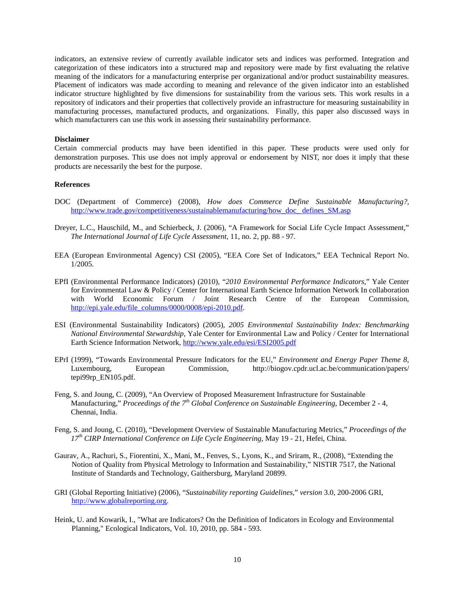indicators, an extensive review of currently available indicator sets and indices was performed. Integration and categorization of these indicators into a structured map and repository were made by first evaluating the relative meaning of the indicators for a manufacturing enterprise per organizational and/or product sustainability measures. Placement of indicators was made according to meaning and relevance of the given indicator into an established indicator structure highlighted by five dimensions for sustainability from the various sets. This work results in a repository of indicators and their properties that collectively provide an infrastructure for measuring sustainability in manufacturing processes, manufactured products, and organizations. Finally, this paper also discussed ways in which manufacturers can use this work in assessing their sustainability performance.

#### **Disclaimer**

Certain commercial products may have been identified in this paper. These products were used only for demonstration purposes. This use does not imply approval or endorsement by NIST, nor does it imply that these products are necessarily the best for the purpose.

## **References**

- DOC (Department of Commerce) (2008), *How does Commerce Define Sustainable Manufacturing?*, [http://www.trade.gov/competitiveness/sustainablemanufacturing/how\\_doc\\_ defines\\_SM.asp](http://www.trade.gov/competitiveness/sustainablemanufacturing/how_doc_%20defines_SM.asp)
- Dreyer, L.C., Hauschild, M., and Schierbeck, J. (2006), "A Framework for Social Life Cycle Impact Assessment," *The International Journal of Life Cycle Assessment,* 11, no. 2, pp. 88 - 97.
- EEA (European Environmental Agency) CSI (2005), "EEA Core Set of Indicators," EEA Technical Report No. 1/2005.
- EPfI (Environmental Performance Indicators) (2010), "*2010 Environmental Performance Indicators*," Yale Center for Environmental Law & Policy / Center for International Earth Science Information Network In collaboration with World Economic Forum / Joint Research Centre of the European Commission, [http://epi.yale.edu/file\\_columns/0000/0008/epi-2010.pdf.](http://epi.yale.edu/file_columns/0000/0008/epi-2010.pdf)
- ESI (Environmental Sustainability Indicators) (2005), *2005 Environmental Sustainability Index: Benchmarking National Environmental Stewardship,* Yale Center for Environmental Law and Policy / Center for International Earth Science Information Network,<http://www.yale.edu/esi/ESI2005.pdf>
- EPrI (1999), "Towards Environmental Pressure Indicators for the EU," *Environment and Energy Paper Theme 8*, Luxembourg, European Commission, http://biogov.cpdr.ucl.ac.be/communication/papers/ tepi99rp\_EN105.pdf.
- Feng, S. and Joung, C. (2009), "An Overview of Proposed Measurement Infrastructure for Sustainable Manufacturing," *Proceedings of the 7th Global Conference on Sustainable Engineering*, December 2 - 4, Chennai, India.
- Feng, S. and Joung, C. (2010), "Development Overview of Sustainable Manufacturing Metrics," *Proceedings of the 17th CIRP International Conference on Life Cycle Engineering*, May 19 - 21, Hefei, China.
- Gaurav, A., Rachuri, S., Fiorentini, X., Mani, M., Fenves, S., Lyons, K., and Sriram, R., (2008), "Extending the Notion of Quality from Physical Metrology to Information and Sustainability," NISTIR 7517, the National Institute of Standards and Technology, Gaithersburg, Maryland 20899.
- GRI (Global Reporting Initiative) (2006), "*Sustainability reporting Guidelines*," *version* 3.0, 200-2006 GRI, [http://www.globalreporting.org.](http://www.globalreporting.org/)
- Heink, U. and Kowarik, I., "What are Indicators? On the Definition of Indicators in Ecology and Environmental Planning," Ecological Indicators, Vol. 10, 2010, pp. 584 - 593.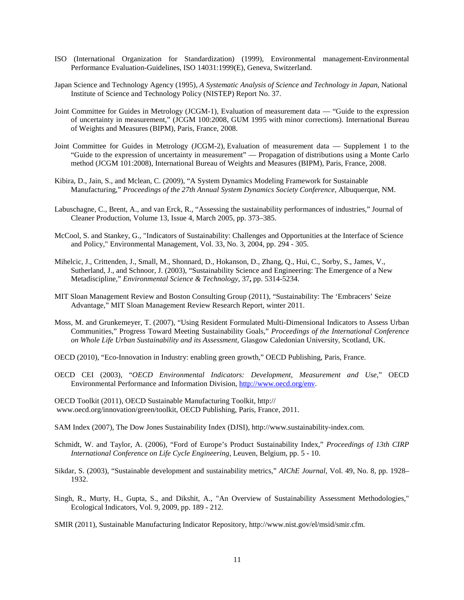- ISO (International Organization for Standardization) (1999), Environmental management-Environmental Performance Evaluation-Guidelines, ISO 14031:1999(E), Geneva, Switzerland.
- Japan Science and Technology Agency (1995), *A Systematic Analysis of Science and Technology in Japan*, National Institute of Science and Technology Policy (NISTEP) Report No. 37.
- Joint Committee for Guides in Metrology (JCGM-1), Evaluation of measurement data "Guide to the expression of uncertainty in measurement," (JCGM 100:2008, GUM 1995 with minor corrections). International Bureau of Weights and Measures (BIPM), Paris, France, 2008.
- Joint Committee for Guides in Metrology (JCGM-2), Evaluation of measurement data Supplement 1 to the "Guide to the expression of uncertainty in measurement" — Propagation of distributions using a Monte Carlo method (JCGM 101:2008), International Bureau of Weights and Measures (BIPM), Paris, France, 2008.
- Kibira, D., Jain, S., and Mclean, C. (2009), "A System Dynamics Modeling Framework for Sustainable Manufacturing," *Proceedings of the 27th Annual System Dynamics Society Conference*, Albuquerque, NM.
- Labuschagne, C., Brent, A., and van Erck, R., "Assessing the sustainability performances of industries," Journal of Cleaner Production, Volume 13, Issue 4, March 2005, pp. 373–385.
- McCool, S. and Stankey, G., "Indicators of Sustainability: Challenges and Opportunities at the Interface of Science and Policy," Environmental Management, Vol. 33, No. 3, 2004, pp. 294 - 305.
- Mihelcic, J., Crittenden, J., Small, M., Shonnard, D., Hokanson, D., Zhang, Q., Hui, C., Sorby, S., James, V., Sutherland, J., and Schnoor, J. (2003), "Sustainability Science and Engineering: The Emergence of a New Metadiscipline," *Environmental Science & Technology,* 37**,** pp. 5314-5234.
- MIT Sloan Management Review and Boston Consulting Group (2011), "Sustainability: The 'Embracers' Seize Advantage," MIT Sloan Management Review Research Report, winter 2011.
- Moss, M. and Grunkemeyer, T. (2007), "Using Resident Formulated Multi-Dimensional Indicators to Assess Urban Communities," Progress Toward Meeting Sustainability Goals," *Proceedings of the International Conference on Whole Life Urban Sustainability and its Assessment*, Glasgow Caledonian University, Scotland, UK.
- OECD (2010), "Eco-Innovation in Industry: enabling green growth," OECD Publishing, Paris, France.
- OECD CEI (2003), "*OECD Environmental Indicators: Development, Measurement and Use,*" OECD Environmental Performance and Information Division, [http://www.oecd.org/env.](http://www.oecd.org/env)
- OECD Toolkit (2011), OECD Sustainable Manufacturing Toolkit, http:// www.oecd.org/innovation/green/toolkit, OECD Publishing, Paris, France, 2011.

SAM Index (2007), The Dow Jones Sustainability Index (DJSI), http://www.sustainability-index.com.

- Schmidt, W. and Taylor, A. (2006), "Ford of Europe's Product Sustainability Index," *Proceedings of 13th CIRP International Conference on Life Cycle Engineering*, Leuven, Belgium, pp. 5 - 10.
- Sikdar, S. (2003), "Sustainable development and sustainability metrics," *AIChE Journal*, Vol. 49, No. 8, pp. 1928– 1932.
- Singh, R., Murty, H., Gupta, S., and Dikshit, A., "An Overview of Sustainability Assessment Methodologies," Ecological Indicators, Vol. 9, 2009, pp. 189 - 212.

SMIR (2011), Sustainable Manufacturing Indicator Repository, http://www.nist.gov/el/msid/smir.cfm.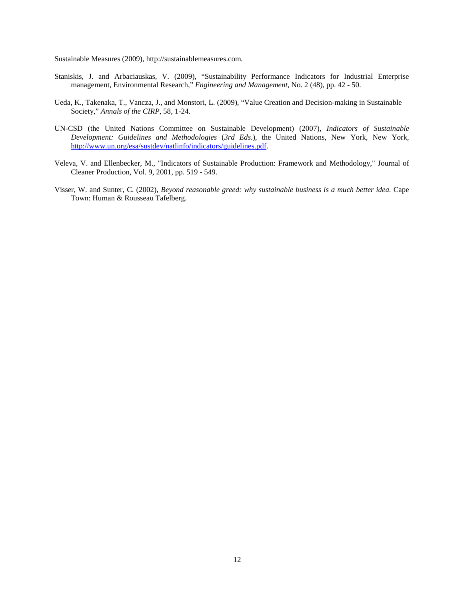Sustainable Measures (2009), http://sustainablemeasures.com*.*

- Staniskis, J. and Arbaciauskas, V. (2009), "Sustainability Performance Indicators for Industrial Enterprise management, Environmental Research," *Engineering and Management*, No. 2 (48), pp. 42 - 50.
- Ueda, K., Takenaka, T., Vancza, J., and Monstori, L. (2009), "Value Creation and Decision-making in Sustainable Society," *Annals of the CIRP*, 58, 1-24.
- UN-CSD (the United Nations Committee on Sustainable Development) (2007), *Indicators of Sustainable Development: Guidelines and Methodologies* (*3rd Eds*.), the United Nations, New York, New York, [http://www.un.org/esa/sustdev/natlinfo/indicators/guidelines.pdf.](http://www.un.org/esa/sustdev/natlinfo/indicators/guidelines.pdf)
- Veleva, V. and Ellenbecker, M., "Indicators of Sustainable Production: Framework and Methodology," Journal of Cleaner Production, Vol. 9, 2001, pp. 519 - 549.
- Visser, W. and Sunter, C. (2002), *Beyond reasonable greed: why sustainable business is a much better idea.* Cape Town: Human & Rousseau Tafelberg.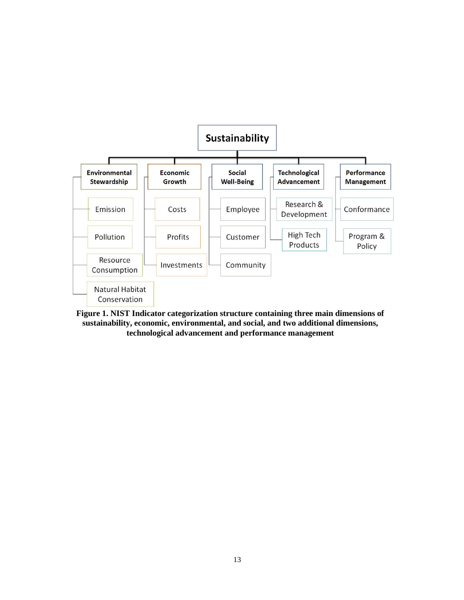

**Figure 1. NIST Indicator categorization structure containing three main dimensions of sustainability, economic, environmental, and social, and two additional dimensions, technological advancement and performance management**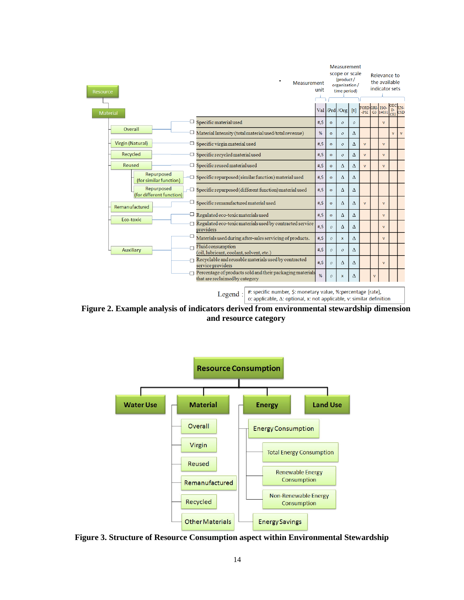| Resource                                                                                                                                                 | Measurement                                                                                 | unit             | Measurement<br>scope or scale<br>(product/<br>organization/<br>time period) |                       |         | Relevance to<br>the available<br>indicator sets |  |                      |                       |             |
|----------------------------------------------------------------------------------------------------------------------------------------------------------|---------------------------------------------------------------------------------------------|------------------|-----------------------------------------------------------------------------|-----------------------|---------|-------------------------------------------------|--|----------------------|-----------------------|-------------|
| <b>Material</b>                                                                                                                                          |                                                                                             |                  |                                                                             | Val $ /Prd /Org $ [t] |         | FORD GRI- ISO-<br>-PSI                          |  | G <sub>3</sub> 14031 | OEC UN-<br><b>CEI</b> | <b>CSD</b>  |
| □                                                                                                                                                        | Specific material used                                                                      | #,\$             | $\circ$                                                                     | $\mathcal{O}$         | $\circ$ |                                                 |  | $\mathbf v$          |                       |             |
| Overall                                                                                                                                                  | $\Box$ Material Intensity (total material used/total revenue)                               | %                | $\circ$                                                                     | $\mathcal{O}$         | Δ       |                                                 |  |                      | $\mathbf{v}$          | $\mathbf v$ |
| Virgin (Natural)<br>□                                                                                                                                    | Specific virgin material used                                                               | #, $\zeta$       | $\circ$                                                                     | $\mathcal{O}$         | Δ       | v                                               |  | $\mathbf{v}$         |                       |             |
| Recycled<br>о                                                                                                                                            | Specific recycled material used                                                             | #,\$             | $\circ$                                                                     | $\mathcal{O}$         | Δ       | $\mathbf{v}$                                    |  | $\mathbf{v}$         |                       |             |
| Reused                                                                                                                                                   | $\Box$ Specific reused material used                                                        | #, \$            | $\circ$                                                                     | Δ                     | Δ       | $\mathbf{v}$                                    |  | $\mathbf{v}$         |                       |             |
| Repurposed<br>(for similar function)                                                                                                                     | $\Box$ Specific repurposed (similar function) material used                                 | #, $\mathsf{\$}$ | $\circ$                                                                     | Δ                     | Δ       |                                                 |  |                      |                       |             |
| Repurposed                                                                                                                                               | $\Box$ Specific repurposed (different function) material used                               | #, \$            | $\Omega$                                                                    | Δ                     | Λ       |                                                 |  |                      |                       |             |
| (for different function)<br>о<br>Remanufactured                                                                                                          | Specific remanufactured material used                                                       | # $,$ \$         | $\circ$                                                                     | Δ                     | Δ       | $\mathbf{v}$                                    |  | $\mathbf{v}$         |                       |             |
| Eco-toxic                                                                                                                                                | $\Box$ Regulated eco-toxic materials used                                                   | #,\$             | $\circ$                                                                     | Δ                     | Δ       |                                                 |  | $\mathbf v$          |                       |             |
|                                                                                                                                                          | $\Box$ Regulated eco-toxic materials used by contracted service<br>providers                | #, \$            | $\circ$                                                                     | Δ                     | Δ       |                                                 |  | $\mathbf{v}$         |                       |             |
| □                                                                                                                                                        | Materials used during after-sales servicing of products.                                    | #, \$            | $\circ$                                                                     | $\pmb{\mathsf{x}}$    | Δ       |                                                 |  | $\mathbf v$          |                       |             |
| <b>Auxiliary</b>                                                                                                                                         | Fluid consumption<br>(oil, lubricant, coolant, solvent, etc.)                               | #, \$            | $\circ$                                                                     | 0                     | Δ       |                                                 |  |                      |                       |             |
|                                                                                                                                                          | $\Box$ Recyclable and reusable materials used by contracted<br>service providers            | #,\$             | $\circ$                                                                     | Δ                     | Δ       |                                                 |  | $\mathbf{v}$         |                       |             |
|                                                                                                                                                          | Percentage of products sold and their packaging materials<br>that are reclaimed by category | %                | $\theta$                                                                    | $\mathbf{x}$          | Λ       |                                                 |  |                      |                       |             |
| #: specific number, \$: monetary value, %: percentage (rate),<br>Legend:<br>o: applicable, $\Delta$ : optional, x: not applicable, v: similar definition |                                                                                             |                  |                                                                             |                       |         |                                                 |  |                      |                       |             |

**Figure 2. Example analysis of indicators derived from environmental stewardship dimension and resource category**



**Figure 3. Structure of Resource Consumption aspect within Environmental Stewardship**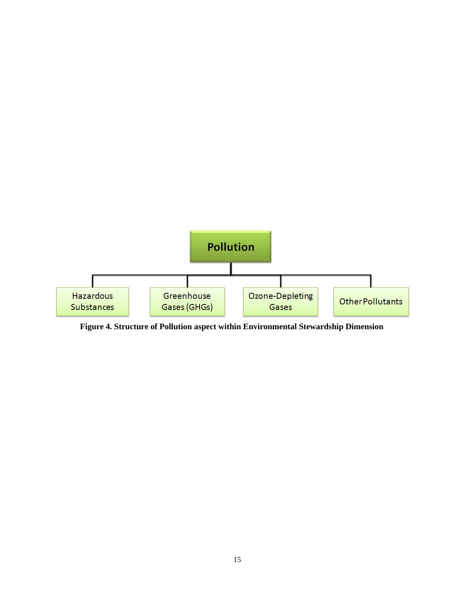

**Figure 4. Structure of Pollution aspect within Environmental Stewardship Dimension**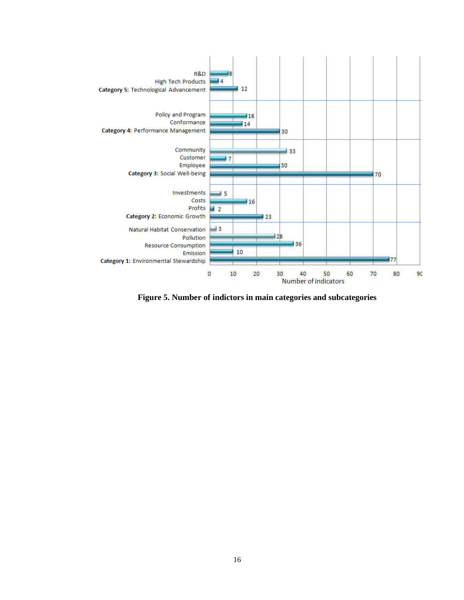

**Figure 5. Number of indictors in main categories and subcategories**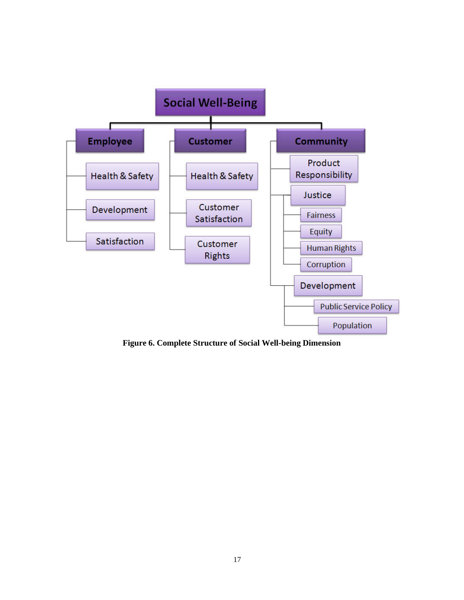

**Figure 6. Complete Structure of Social Well-being Dimension**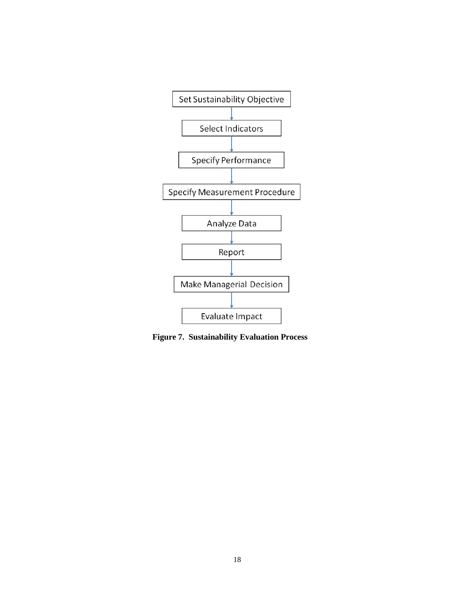

**Figure 7. Sustainability Evaluation Process**